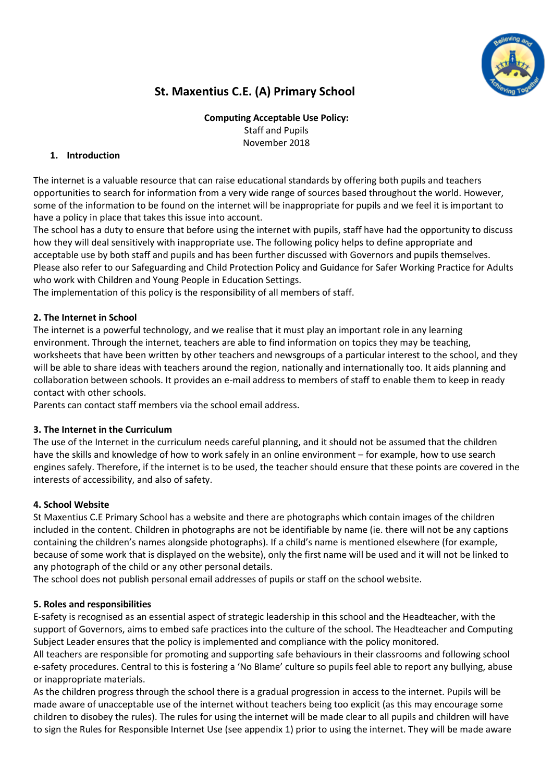

# **St. Maxentius C.E. (A) Primary School**

**Computing Acceptable Use Policy:** Staff and Pupils November 2018

# **1. Introduction**

The internet is a valuable resource that can raise educational standards by offering both pupils and teachers opportunities to search for information from a very wide range of sources based throughout the world. However, some of the information to be found on the internet will be inappropriate for pupils and we feel it is important to have a policy in place that takes this issue into account.

The school has a duty to ensure that before using the internet with pupils, staff have had the opportunity to discuss how they will deal sensitively with inappropriate use. The following policy helps to define appropriate and acceptable use by both staff and pupils and has been further discussed with Governors and pupils themselves. Please also refer to our Safeguarding and Child Protection Policy and Guidance for Safer Working Practice for Adults who work with Children and Young People in Education Settings.

The implementation of this policy is the responsibility of all members of staff.

## **2. The Internet in School**

The internet is a powerful technology, and we realise that it must play an important role in any learning environment. Through the internet, teachers are able to find information on topics they may be teaching, worksheets that have been written by other teachers and newsgroups of a particular interest to the school, and they will be able to share ideas with teachers around the region, nationally and internationally too. It aids planning and collaboration between schools. It provides an e-mail address to members of staff to enable them to keep in ready contact with other schools.

Parents can contact staff members via the school email address.

#### **3. The Internet in the Curriculum**

The use of the Internet in the curriculum needs careful planning, and it should not be assumed that the children have the skills and knowledge of how to work safely in an online environment – for example, how to use search engines safely. Therefore, if the internet is to be used, the teacher should ensure that these points are covered in the interests of accessibility, and also of safety.

## **4. School Website**

St Maxentius C.E Primary School has a website and there are photographs which contain images of the children included in the content. Children in photographs are not be identifiable by name (ie. there will not be any captions containing the children's names alongside photographs). If a child's name is mentioned elsewhere (for example, because of some work that is displayed on the website), only the first name will be used and it will not be linked to any photograph of the child or any other personal details.

The school does not publish personal email addresses of pupils or staff on the school website.

## **5. Roles and responsibilities**

E-safety is recognised as an essential aspect of strategic leadership in this school and the Headteacher, with the support of Governors, aims to embed safe practices into the culture of the school. The Headteacher and Computing Subject Leader ensures that the policy is implemented and compliance with the policy monitored.

All teachers are responsible for promoting and supporting safe behaviours in their classrooms and following school e-safety procedures. Central to this is fostering a 'No Blame' culture so pupils feel able to report any bullying, abuse or inappropriate materials.

As the children progress through the school there is a gradual progression in access to the internet. Pupils will be made aware of unacceptable use of the internet without teachers being too explicit (as this may encourage some children to disobey the rules). The rules for using the internet will be made clear to all pupils and children will have to sign the Rules for Responsible Internet Use (see appendix 1) prior to using the internet. They will be made aware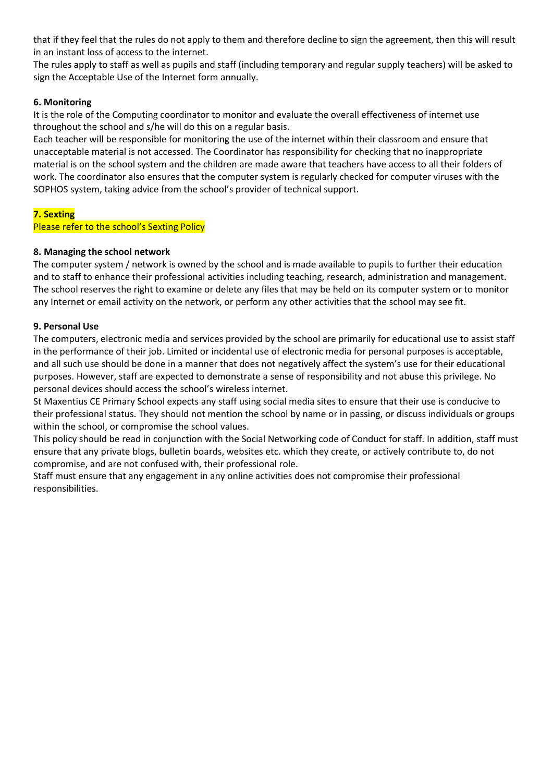that if they feel that the rules do not apply to them and therefore decline to sign the agreement, then this will result in an instant loss of access to the internet.

The rules apply to staff as well as pupils and staff (including temporary and regular supply teachers) will be asked to sign the Acceptable Use of the Internet form annually.

## **6. Monitoring**

It is the role of the Computing coordinator to monitor and evaluate the overall effectiveness of internet use throughout the school and s/he will do this on a regular basis.

Each teacher will be responsible for monitoring the use of the internet within their classroom and ensure that unacceptable material is not accessed. The Coordinator has responsibility for checking that no inappropriate material is on the school system and the children are made aware that teachers have access to all their folders of work. The coordinator also ensures that the computer system is regularly checked for computer viruses with the SOPHOS system, taking advice from the school's provider of technical support.

#### **7. Sexting**

Please refer to the school's Sexting Policy

#### **8. Managing the school network**

The computer system / network is owned by the school and is made available to pupils to further their education and to staff to enhance their professional activities including teaching, research, administration and management. The school reserves the right to examine or delete any files that may be held on its computer system or to monitor any Internet or email activity on the network, or perform any other activities that the school may see fit.

#### **9. Personal Use**

The computers, electronic media and services provided by the school are primarily for educational use to assist staff in the performance of their job. Limited or incidental use of electronic media for personal purposes is acceptable, and all such use should be done in a manner that does not negatively affect the system's use for their educational purposes. However, staff are expected to demonstrate a sense of responsibility and not abuse this privilege. No personal devices should access the school's wireless internet.

St Maxentius CE Primary School expects any staff using social media sites to ensure that their use is conducive to their professional status. They should not mention the school by name or in passing, or discuss individuals or groups within the school, or compromise the school values.

This policy should be read in conjunction with the Social Networking code of Conduct for staff. In addition, staff must ensure that any private blogs, bulletin boards, websites etc. which they create, or actively contribute to, do not compromise, and are not confused with, their professional role.

Staff must ensure that any engagement in any online activities does not compromise their professional responsibilities.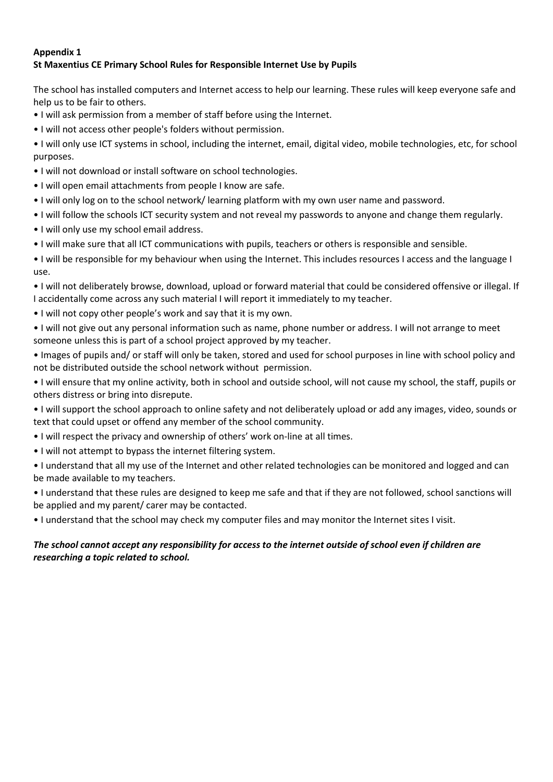## **Appendix 1 St Maxentius CE Primary School Rules for Responsible Internet Use by Pupils**

The school has installed computers and Internet access to help our learning. These rules will keep everyone safe and help us to be fair to others.

- I will ask permission from a member of staff before using the Internet.
- I will not access other people's folders without permission.

• I will only use ICT systems in school, including the internet, email, digital video, mobile technologies, etc, for school purposes.

- I will not download or install software on school technologies.
- I will open email attachments from people I know are safe.
- I will only log on to the school network/ learning platform with my own user name and password.
- I will follow the schools ICT security system and not reveal my passwords to anyone and change them regularly.
- I will only use my school email address.
- I will make sure that all ICT communications with pupils, teachers or others is responsible and sensible.

• I will be responsible for my behaviour when using the Internet. This includes resources I access and the language I use.

- I will not deliberately browse, download, upload or forward material that could be considered offensive or illegal. If I accidentally come across any such material I will report it immediately to my teacher.
- I will not copy other people's work and say that it is my own.
- I will not give out any personal information such as name, phone number or address. I will not arrange to meet someone unless this is part of a school project approved by my teacher.

• Images of pupils and/ or staff will only be taken, stored and used for school purposes in line with school policy and not be distributed outside the school network without permission.

- I will ensure that my online activity, both in school and outside school, will not cause my school, the staff, pupils or others distress or bring into disrepute.
- I will support the school approach to online safety and not deliberately upload or add any images, video, sounds or text that could upset or offend any member of the school community.
- I will respect the privacy and ownership of others' work on-line at all times.
- I will not attempt to bypass the internet filtering system.
- I understand that all my use of the Internet and other related technologies can be monitored and logged and can be made available to my teachers.

• I understand that these rules are designed to keep me safe and that if they are not followed, school sanctions will be applied and my parent/ carer may be contacted.

• I understand that the school may check my computer files and may monitor the Internet sites I visit.

# *The school cannot accept any responsibility for access to the internet outside of school even if children are researching a topic related to school.*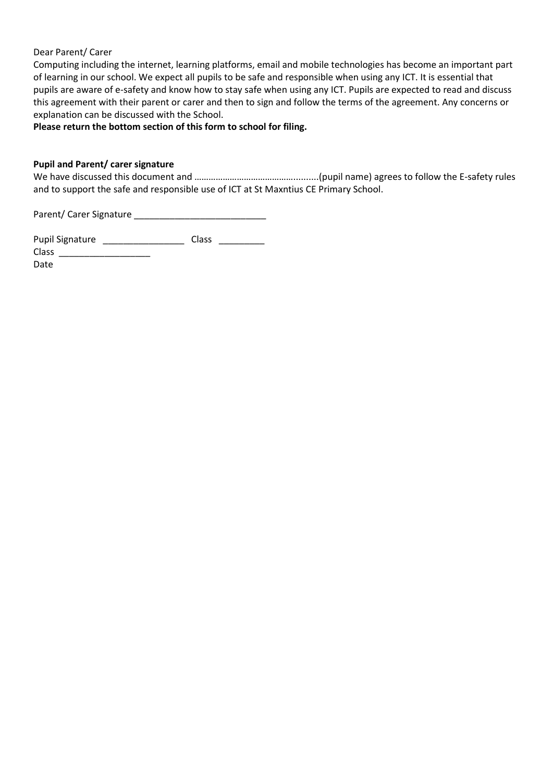#### Dear Parent/ Carer

Computing including the internet, learning platforms, email and mobile technologies has become an important part of learning in our school. We expect all pupils to be safe and responsible when using any ICT. It is essential that pupils are aware of e-safety and know how to stay safe when using any ICT. Pupils are expected to read and discuss this agreement with their parent or carer and then to sign and follow the terms of the agreement. Any concerns or explanation can be discussed with the School.

### **Please return the bottom section of this form to school for filing.**

#### **Pupil and Parent/ carer signature**

We have discussed this document and ……………………………………..........(pupil name) agrees to follow the E-safety rules and to support the safe and responsible use of ICT at St Maxntius CE Primary School.

Parent/ Carer Signature \_\_\_\_\_\_\_\_\_\_\_\_\_\_\_\_\_\_\_\_\_\_\_\_\_\_

| <b>Pupil Signature</b> | Class |  |
|------------------------|-------|--|
| <b>Class</b>           |       |  |
| $D - L -$              |       |  |

Date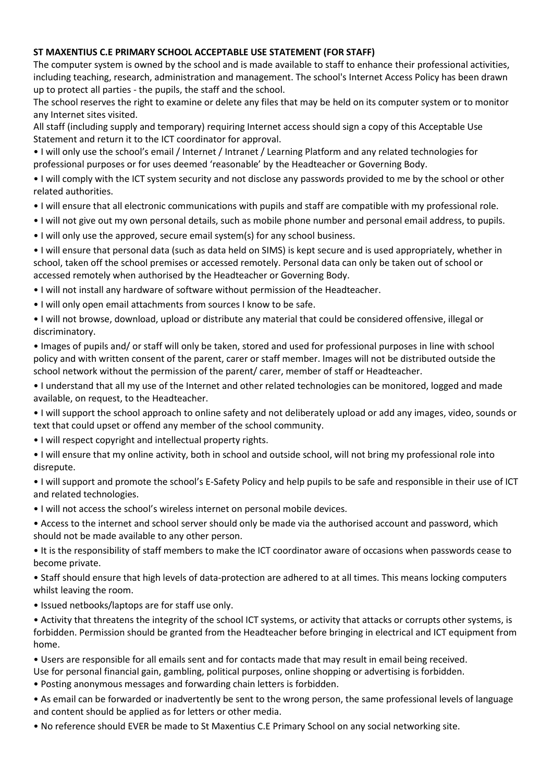## **ST MAXENTIUS C.E PRIMARY SCHOOL ACCEPTABLE USE STATEMENT (FOR STAFF)**

The computer system is owned by the school and is made available to staff to enhance their professional activities, including teaching, research, administration and management. The school's Internet Access Policy has been drawn up to protect all parties - the pupils, the staff and the school.

The school reserves the right to examine or delete any files that may be held on its computer system or to monitor any Internet sites visited.

All staff (including supply and temporary) requiring Internet access should sign a copy of this Acceptable Use Statement and return it to the ICT coordinator for approval.

• I will only use the school's email / Internet / Intranet / Learning Platform and any related technologies for professional purposes or for uses deemed 'reasonable' by the Headteacher or Governing Body.

- I will comply with the ICT system security and not disclose any passwords provided to me by the school or other related authorities.
- I will ensure that all electronic communications with pupils and staff are compatible with my professional role.
- I will not give out my own personal details, such as mobile phone number and personal email address, to pupils.
- I will only use the approved, secure email system(s) for any school business.
- I will ensure that personal data (such as data held on SIMS) is kept secure and is used appropriately, whether in school, taken off the school premises or accessed remotely. Personal data can only be taken out of school or accessed remotely when authorised by the Headteacher or Governing Body.
- I will not install any hardware of software without permission of the Headteacher.
- I will only open email attachments from sources I know to be safe.

• I will not browse, download, upload or distribute any material that could be considered offensive, illegal or discriminatory.

• Images of pupils and/ or staff will only be taken, stored and used for professional purposes in line with school policy and with written consent of the parent, carer or staff member. Images will not be distributed outside the school network without the permission of the parent/ carer, member of staff or Headteacher.

• I understand that all my use of the Internet and other related technologies can be monitored, logged and made available, on request, to the Headteacher.

- I will support the school approach to online safety and not deliberately upload or add any images, video, sounds or text that could upset or offend any member of the school community.
- I will respect copyright and intellectual property rights.
- I will ensure that my online activity, both in school and outside school, will not bring my professional role into disrepute.
- I will support and promote the school's E-Safety Policy and help pupils to be safe and responsible in their use of ICT and related technologies.
- I will not access the school's wireless internet on personal mobile devices.
- Access to the internet and school server should only be made via the authorised account and password, which should not be made available to any other person.

• It is the responsibility of staff members to make the ICT coordinator aware of occasions when passwords cease to become private.

• Staff should ensure that high levels of data-protection are adhered to at all times. This means locking computers whilst leaving the room.

- Issued netbooks/laptops are for staff use only.
- Activity that threatens the integrity of the school ICT systems, or activity that attacks or corrupts other systems, is forbidden. Permission should be granted from the Headteacher before bringing in electrical and ICT equipment from home.
- Users are responsible for all emails sent and for contacts made that may result in email being received.

Use for personal financial gain, gambling, political purposes, online shopping or advertising is forbidden.

- Posting anonymous messages and forwarding chain letters is forbidden.
- As email can be forwarded or inadvertently be sent to the wrong person, the same professional levels of language and content should be applied as for letters or other media.
- No reference should EVER be made to St Maxentius C.E Primary School on any social networking site.